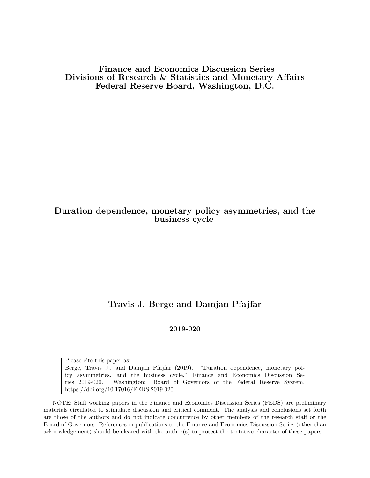Finance and Economics Discussion Series Divisions of Research & Statistics and Monetary Affairs Federal Reserve Board, Washington, D.C.

## Duration dependence, monetary policy asymmetries, and the business cycle

# Travis J. Berge and Damjan Pfajfar

### 2019-020

Please cite this paper as: Berge, Travis J., and Damjan Pfajfar (2019). "Duration dependence, monetary policy asymmetries, and the business cycle," Finance and Economics Discussion Series 2019-020. Washington: Board of Governors of the Federal Reserve System, https://doi.org/10.17016/FEDS.2019.020.

NOTE: Staff working papers in the Finance and Economics Discussion Series (FEDS) are preliminary materials circulated to stimulate discussion and critical comment. The analysis and conclusions set forth are those of the authors and do not indicate concurrence by other members of the research staff or the Board of Governors. References in publications to the Finance and Economics Discussion Series (other than acknowledgement) should be cleared with the author(s) to protect the tentative character of these papers.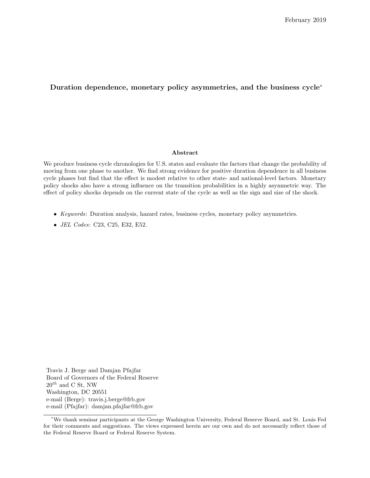### Duration dependence, monetary policy asymmetries, and the business cycle<sup>∗</sup>

#### Abstract

We produce business cycle chronologies for U.S. states and evaluate the factors that change the probability of moving from one phase to another. We find strong evidence for positive duration dependence in all business cycle phases but find that the effect is modest relative to other state- and national-level factors. Monetary policy shocks also have a strong influence on the transition probabilities in a highly asymmetric way. The effect of policy shocks depends on the current state of the cycle as well as the sign and size of the shock.

- Keywords: Duration analysis, hazard rates, business cycles, monetary policy asymmetries.
- JEL Codes: C23, C25, E32, E52.

Travis J. Berge and Damjan Pfajfar Board of Governors of the Federal Reserve  $20^{th}$  and C St, NW Washington, DC 20551 e-mail (Berge): travis.j.berge@frb.gov e-mail (Pfajfar): damjan.pfajfar@frb.gov

<sup>∗</sup>We thank seminar participants at the George Washington University, Federal Reserve Board, and St. Louis Fed for their comments and suggestions. The views expressed herein are our own and do not necessarily reflect those of the Federal Reserve Board or Federal Reserve System.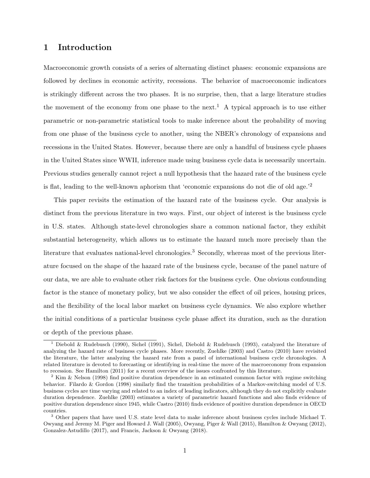## 1 Introduction

Macroeconomic growth consists of a series of alternating distinct phases: economic expansions are followed by declines in economic activity, recessions. The behavior of macroeconomic indicators is strikingly different across the two phases. It is no surprise, then, that a large literature studies the movement of the economy from one phase to the next.<sup>1</sup> A typical approach is to use either parametric or non-parametric statistical tools to make inference about the probability of moving from one phase of the business cycle to another, using the NBER's chronology of expansions and recessions in the United States. However, because there are only a handful of business cycle phases in the United States since WWII, inference made using business cycle data is necessarily uncertain. Previous studies generally cannot reject a null hypothesis that the hazard rate of the business cycle is flat, leading to the well-known aphorism that 'economic expansions do not die of old age.'<sup>2</sup>

This paper revisits the estimation of the hazard rate of the business cycle. Our analysis is distinct from the previous literature in two ways. First, our object of interest is the business cycle in U.S. states. Although state-level chronologies share a common national factor, they exhibit substantial heterogeneity, which allows us to estimate the hazard much more precisely than the literature that evaluates national-level chronologies.<sup>3</sup> Secondly, whereas most of the previous literature focused on the shape of the hazard rate of the business cycle, because of the panel nature of our data, we are able to evaluate other risk factors for the business cycle. One obvious confounding factor is the stance of monetary policy, but we also consider the effect of oil prices, housing prices, and the flexibility of the local labor market on business cycle dynamics. We also explore whether the initial conditions of a particular business cycle phase affect its duration, such as the duration or depth of the previous phase.

<sup>1</sup> Diebold & Rudebusch (1990), Sichel (1991), Sichel, Diebold & Rudebusch (1993), catalyzed the literature of analyzing the hazard rate of business cycle phases. More recently, Zuehlke (2003) and Castro (2010) have revisited the literature, the latter analyzing the hazard rate from a panel of international business cycle chronologies. A related literature is devoted to forecasting or identifying in real-time the move of the macroeconomy from expansion to recession. See Hamilton (2011) for a recent overview of the issues confronted by this literature.

<sup>&</sup>lt;sup>2</sup> Kim & Nelson (1998) find positive duration dependence in an estimated common factor with regime switching behavior. Filardo & Gordon (1998) similarly find the transition probabilities of a Markov-switching model of U.S. business cycles are time varying and related to an index of leading indicators, although they do not explicitly evaluate duration dependence. Zuehlke (2003) estimates a variety of parametric hazard functions and also finds evidence of positive duration dependence since 1945, while Castro (2010) finds evidence of positive duration dependence in OECD countries.

<sup>3</sup> Other papers that have used U.S. state level data to make inference about business cycles include Michael T. Owyang and Jeremy M. Piger and Howard J. Wall (2005), Owyang, Piger & Wall (2015), Hamilton & Owyang (2012), Gonzalez-Astudillo (2017), and Francis, Jackson & Owyang (2018).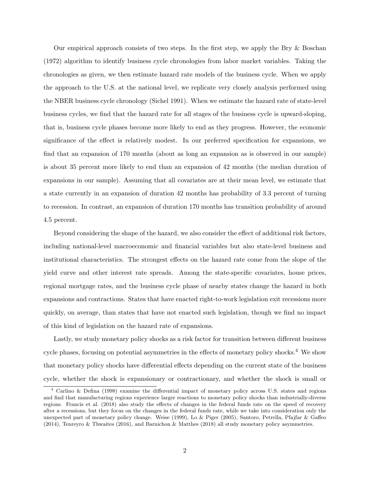Our empirical approach consists of two steps. In the first step, we apply the Bry & Boschan (1972) algorithm to identify business cycle chronologies from labor market variables. Taking the chronologies as given, we then estimate hazard rate models of the business cycle. When we apply the approach to the U.S. at the national level, we replicate very closely analysis performed using the NBER business cycle chronology (Sichel 1991). When we estimate the hazard rate of state-level business cycles, we find that the hazard rate for all stages of the business cycle is upward-sloping, that is, business cycle phases become more likely to end as they progress. However, the economic significance of the effect is relatively modest. In our preferred specification for expansions, we find that an expansion of 170 months (about as long an expansion as is observed in our sample) is about 35 percent more likely to end than an expansion of 42 months (the median duration of expansions in our sample). Assuming that all covariates are at their mean level, we estimate that a state currently in an expansion of duration 42 months has probability of 3.3 percent of turning to recession. In contrast, an expansion of duration 170 months has transition probability of around 4.5 percent.

Beyond considering the shape of the hazard, we also consider the effect of additional risk factors, including national-level macroeconomic and financial variables but also state-level business and institutional characteristics. The strongest effects on the hazard rate come from the slope of the yield curve and other interest rate spreads. Among the state-specific covariates, house prices, regional mortgage rates, and the business cycle phase of nearby states change the hazard in both expansions and contractions. States that have enacted right-to-work legislation exit recessions more quickly, on average, than states that have not enacted such legislation, though we find no impact of this kind of legislation on the hazard rate of expansions.

Lastly, we study monetary policy shocks as a risk factor for transition between different business cycle phases, focusing on potential asymmetries in the effects of monetary policy shocks.<sup>4</sup> We show that monetary policy shocks have differential effects depending on the current state of the business cycle, whether the shock is expansionary or contractionary, and whether the shock is small or

<sup>4</sup> Carlino & Defina (1998) examine the differential impact of monetary policy across U.S. states and regions and find that manufacturing regions experience larger reactions to monetary policy shocks than industrially-diverse regions. Francis et al. (2018) also study the effects of changes in the federal funds rate on the speed of recovery after a recessions, but they focus on the changes in the federal funds rate, while we take into consideration only the unexpected part of monetary policy change. Weise (1999), Lo & Piger (2005), Santoro, Petrella, Pfajfar & Gaffeo (2014), Tenreyro & Thwaites (2016), and Barnichon & Matthes (2018) all study monetary policy asymmetries.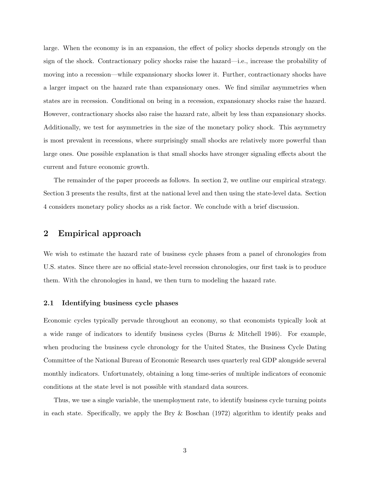large. When the economy is in an expansion, the effect of policy shocks depends strongly on the sign of the shock. Contractionary policy shocks raise the hazard—i.e., increase the probability of moving into a recession—while expansionary shocks lower it. Further, contractionary shocks have a larger impact on the hazard rate than expansionary ones. We find similar asymmetries when states are in recession. Conditional on being in a recession, expansionary shocks raise the hazard. However, contractionary shocks also raise the hazard rate, albeit by less than expansionary shocks. Additionally, we test for asymmetries in the size of the monetary policy shock. This asymmetry is most prevalent in recessions, where surprisingly small shocks are relatively more powerful than large ones. One possible explanation is that small shocks have stronger signaling effects about the current and future economic growth.

The remainder of the paper proceeds as follows. In section 2, we outline our empirical strategy. Section 3 presents the results, first at the national level and then using the state-level data. Section 4 considers monetary policy shocks as a risk factor. We conclude with a brief discussion.

### 2 Empirical approach

We wish to estimate the hazard rate of business cycle phases from a panel of chronologies from U.S. states. Since there are no official state-level recession chronologies, our first task is to produce them. With the chronologies in hand, we then turn to modeling the hazard rate.

### 2.1 Identifying business cycle phases

Economic cycles typically pervade throughout an economy, so that economists typically look at a wide range of indicators to identify business cycles (Burns & Mitchell 1946). For example, when producing the business cycle chronology for the United States, the Business Cycle Dating Committee of the National Bureau of Economic Research uses quarterly real GDP alongside several monthly indicators. Unfortunately, obtaining a long time-series of multiple indicators of economic conditions at the state level is not possible with standard data sources.

Thus, we use a single variable, the unemployment rate, to identify business cycle turning points in each state. Specifically, we apply the Bry & Boschan (1972) algorithm to identify peaks and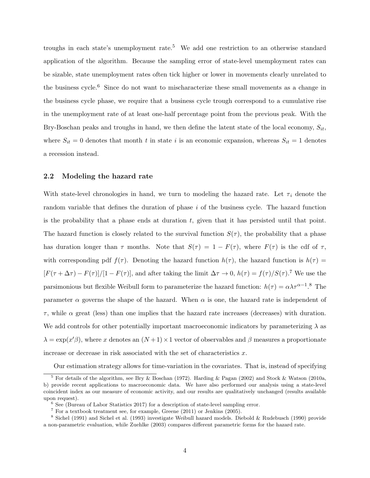troughs in each state's unemployment rate.<sup>5</sup> We add one restriction to an otherwise standard application of the algorithm. Because the sampling error of state-level unemployment rates can be sizable, state unemployment rates often tick higher or lower in movements clearly unrelated to the business cycle.<sup>6</sup> Since do not want to mischaracterize these small movements as a change in the business cycle phase, we require that a business cycle trough correspond to a cumulative rise in the unemployment rate of at least one-half percentage point from the previous peak. With the Bry-Boschan peaks and troughs in hand, we then define the latent state of the local economy,  $S_{it}$ , where  $S_{it} = 0$  denotes that month t in state i is an economic expansion, whereas  $S_{it} = 1$  denotes a recession instead.

#### 2.2 Modeling the hazard rate

With state-level chronologies in hand, we turn to modeling the hazard rate. Let  $\tau_i$  denote the random variable that defines the duration of phase  $i$  of the business cycle. The hazard function is the probability that a phase ends at duration  $t$ , given that it has persisted until that point. The hazard function is closely related to the survival function  $S(\tau)$ , the probability that a phase has duration longer than  $\tau$  months. Note that  $S(\tau) = 1 - F(\tau)$ , where  $F(\tau)$  is the cdf of  $\tau$ , with corresponding pdf  $f(\tau)$ . Denoting the hazard function  $h(\tau)$ , the hazard function is  $h(\tau)$  =  $[F(\tau + \Delta \tau) - F(\tau)]/[1 - F(\tau)]$ , and after taking the limit  $\Delta \tau \to 0$ ,  $h(\tau) = f(\tau)/S(\tau)$ .<sup>7</sup> We use the parsimonious but flexible Weibull form to parameterize the hazard function:  $h(\tau) = \alpha \lambda \tau^{\alpha-1}$ .<sup>8</sup> The parameter  $\alpha$  governs the shape of the hazard. When  $\alpha$  is one, the hazard rate is independent of  $\tau$ , while  $\alpha$  great (less) than one implies that the hazard rate increases (decreases) with duration. We add controls for other potentially important macroeconomic indicators by parameterizing  $\lambda$  as  $\lambda = \exp(x/\beta)$ , where x denotes an  $(N+1) \times 1$  vector of observables and  $\beta$  measures a proportionate increase or decrease in risk associated with the set of characteristics  $x$ .

Our estimation strategy allows for time-variation in the covariates. That is, instead of specifying

<sup>5</sup> For details of the algorithm, see Bry & Boschan (1972). Harding & Pagan (2002) and Stock & Watson (2010a, b) provide recent applications to macroeconomic data. We have also performed our analysis using a state-level coincident index as our measure of economic activity, and our results are qualitatively unchanged (results available upon request).

<sup>6</sup> See (Bureau of Labor Statistics 2017) for a description of state-level sampling error.

 $7$  For a textbook treatment see, for example, Greene (2011) or Jenkins (2005).

<sup>8</sup> Sichel (1991) and Sichel et al. (1993) investigate Weibull hazard models. Diebold & Rudebusch (1990) provide a non-parametric evaluation, while Zuehlke (2003) compares different parametric forms for the hazard rate.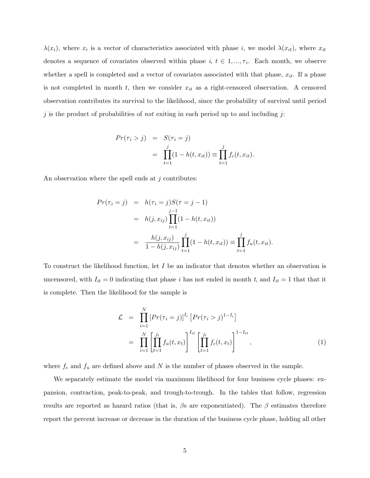$\lambda(x_i)$ , where  $x_i$  is a vector of characteristics associated with phase i, we model  $\lambda(x_{it})$ , where  $x_{it}$ denotes a sequence of covariates observed within phase  $i, t \in 1, ..., \tau_i$ . Each month, we observe whether a spell is completed and a vector of covariates associated with that phase,  $x_{it}$ . If a phase is not completed in month  $t$ , then we consider  $x_{it}$  as a right-censored observation. A censored observation contributes its survival to the likelihood, since the probability of survival until period j is the product of probabilities of not exiting in each period up to and including j:

$$
Pr(\tau_i > j) = S(\tau_i = j)
$$
  
= 
$$
\prod_{t=1}^{j} (1 - h(t, x_{it})) \equiv \prod_{t=1}^{j} f_c(t, x_{it}).
$$

An observation where the spell ends at  $j$  contributes:

$$
Pr(\tau_i = j) = h(\tau_i = j)S(\tau = j - 1)
$$
  
=  $h(j, x_{ij}) \prod_{t=1}^{j-1} (1 - h(t, x_{it}))$   
=  $\frac{h(j, x_{ij})}{1 - h(j, x_{ij})} \prod_{t=1}^{j} (1 - h(t, x_{it})) \equiv \prod_{t=1}^{j} f_u(t, x_{it}).$ 

To construct the likelihood function, let  $I$  be an indicator that denotes whether an observation is uncensored, with  $I_{it} = 0$  indicating that phase i has not ended in month t, and  $I_{it} = 1$  that that it is complete. Then the likelihood for the sample is

$$
\mathcal{L} = \prod_{i=1}^{N} [Pr(\tau_i = j)]^{I_i} [Pr(\tau_i > j)^{1 - I_i}]
$$
  
= 
$$
\prod_{i=1}^{N} \left[ \prod_{t=1}^{j_i} f_u(t, x_t) \right]^{I_{it}} \left[ \prod_{t=1}^{j_i} f_c(t, x_t) \right]^{1 - I_{it}},
$$
 (1)

where  $f_c$  and  $f_u$  are defined above and N is the number of phases observed in the sample.

We separately estimate the model via maximum likelihood for four business cycle phases: expansion, contraction, peak-to-peak, and trough-to-trough. In the tables that follow, regression results are reported as hazard ratios (that is,  $\beta$ s are exponentiated). The  $\beta$  estimates therefore report the percent increase or decrease in the duration of the business cycle phase, holding all other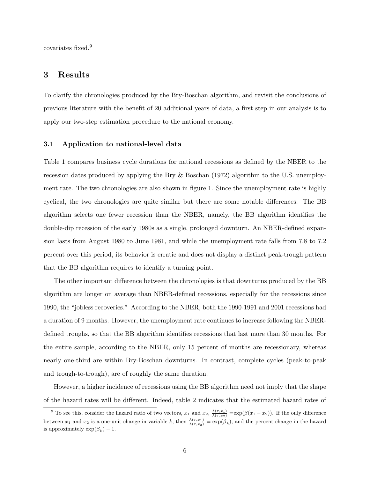covariates fixed.<sup>9</sup>

### 3 Results

To clarify the chronologies produced by the Bry-Boschan algorithm, and revisit the conclusions of previous literature with the benefit of 20 additional years of data, a first step in our analysis is to apply our two-step estimation procedure to the national economy.

#### 3.1 Application to national-level data

Table 1 compares business cycle durations for national recessions as defined by the NBER to the recession dates produced by applying the Bry & Boschan (1972) algorithm to the U.S. unemployment rate. The two chronologies are also shown in figure 1. Since the unemployment rate is highly cyclical, the two chronologies are quite similar but there are some notable differences. The BB algorithm selects one fewer recession than the NBER, namely, the BB algorithm identifies the double-dip recession of the early 1980s as a single, prolonged downturn. An NBER-defined expansion lasts from August 1980 to June 1981, and while the unemployment rate falls from 7.8 to 7.2 percent over this period, its behavior is erratic and does not display a distinct peak-trough pattern that the BB algorithm requires to identify a turning point.

The other important difference between the chronologies is that downturns produced by the BB algorithm are longer on average than NBER-defined recessions, especially for the recessions since 1990, the "jobless recoveries." According to the NBER, both the 1990-1991 and 2001 recessions had a duration of 9 months. However, the unemployment rate continues to increase following the NBERdefined troughs, so that the BB algorithm identifies recessions that last more than 30 months. For the entire sample, according to the NBER, only 15 percent of months are recessionary, whereas nearly one-third are within Bry-Boschan downturns. In contrast, complete cycles (peak-to-peak and trough-to-trough), are of roughly the same duration.

However, a higher incidence of recessions using the BB algorithm need not imply that the shape of the hazard rates will be different. Indeed, table 2 indicates that the estimated hazard rates of

<sup>&</sup>lt;sup>9</sup> To see this, consider the hazard ratio of two vectors,  $x_1$  and  $x_2$ ,  $\frac{\lambda(\tau,x_1)}{\lambda(\tau,x_2)} = \exp(\beta(x_1 - x_2))$ . If the only difference between  $x_1$  and  $x_2$  is a one-unit change in variable k, then  $\frac{\lambda(\tau,x_1)}{\lambda(\tau,x_2)} = \exp(\beta_k)$ , and the percent change in the hazard is approximately  $\exp(\beta_k) - 1$ .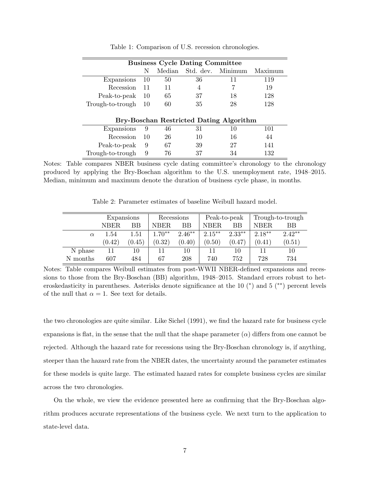|                  |    |        | <b>Business Cycle Dating Committee</b> |                                         |         |
|------------------|----|--------|----------------------------------------|-----------------------------------------|---------|
|                  | N  | Median | Std. dev.                              | Minimum                                 | Maximum |
| Expansions       | 10 | 50     | 36                                     | 11                                      | 119     |
| Recession        | 11 | 11     | 4                                      |                                         | 19      |
| Peak-to-peak     | 10 | 65     | 37                                     | 18                                      | 128     |
| Trough-to-trough | 10 | 60     | 35                                     | 28                                      | 128     |
|                  |    |        |                                        | Bry-Boschan Restricted Dating Algorithm |         |
| Expansions       | 9  | 46     | 31                                     | 10                                      | 101     |
| Recession        | 10 | 26     | 10                                     | 16                                      | 44      |
| Peak-to-peak     | 9  | 67     | 39                                     | 27                                      | 141     |
| Trough-to-trough | 9  | 76     | 37                                     | 34                                      | 132     |

Table 1: Comparison of U.S. recession chronologies.

Notes: Table compares NBER business cycle dating committee's chronology to the chronology produced by applying the Bry-Boschan algorithm to the U.S. unemployment rate, 1948–2015. Median, minimum and maximum denote the duration of business cycle phase, in months.

Table 2: Parameter estimates of baseline Weibull hazard model.

|          | Expansions |        | Recessions |          | Peak-to-peak |           | Trough-to-trough |          |
|----------|------------|--------|------------|----------|--------------|-----------|------------------|----------|
|          | NBER.      | ΒB     | NBER.      | BB       | <b>NBER</b>  | ВB        | NBER.            | ВB       |
| $\alpha$ | 1.54       | 1.51   | $1.70**$   | $2.46**$ | $2.15***$    | $2.33***$ | $2.18**$         | $2.42**$ |
|          | (0.42)     | (0.45) | (0.32)     | (0.40)   | (0.50)       | (0.47)    | (0.41)           | (0.51)   |
| N phase  | 11         | 10     | 11         | 10       | 11           | 10        |                  | 10       |
| N months | 607        | 484    | 67         | 208      | 740          | 752       | 728              | 734      |

Notes: Table compares Weibull estimates from post-WWII NBER-defined expansions and recessions to those from the Bry-Boschan (BB) algorithm, 1948–2015. Standard errors robust to heteroskedasticity in parentheses. Asterisks denote significance at the 10 (\*) and 5 (\*\*) percent levels of the null that  $\alpha = 1$ . See text for details.

the two chronologies are quite similar. Like Sichel (1991), we find the hazard rate for business cycle expansions is flat, in the sense that the null that the shape parameter  $(\alpha)$  differs from one cannot be rejected. Although the hazard rate for recessions using the Bry-Boschan chronology is, if anything, steeper than the hazard rate from the NBER dates, the uncertainty around the parameter estimates for these models is quite large. The estimated hazard rates for complete business cycles are similar across the two chronologies.

On the whole, we view the evidence presented here as confirming that the Bry-Boschan algorithm produces accurate representations of the business cycle. We next turn to the application to state-level data.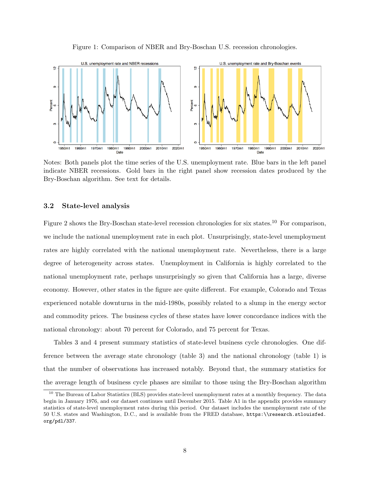Figure 1: Comparison of NBER and Bry-Boschan U.S. recession chronologies.



Notes: Both panels plot the time series of the U.S. unemployment rate. Blue bars in the left panel indicate NBER recessions. Gold bars in the right panel show recession dates produced by the Bry-Boschan algorithm. See text for details.

#### 3.2 State-level analysis

Figure 2 shows the Bry-Boschan state-level recession chronologies for six states.<sup>10</sup> For comparison, we include the national unemployment rate in each plot. Unsurprisingly, state-level unemployment rates are highly correlated with the national unemployment rate. Nevertheless, there is a large degree of heterogeneity across states. Unemployment in California is highly correlated to the national unemployment rate, perhaps unsurprisingly so given that California has a large, diverse economy. However, other states in the figure are quite different. For example, Colorado and Texas experienced notable downturns in the mid-1980s, possibly related to a slump in the energy sector and commodity prices. The business cycles of these states have lower concordance indices with the national chronology: about 70 percent for Colorado, and 75 percent for Texas.

Tables 3 and 4 present summary statistics of state-level business cycle chronologies. One difference between the average state chronology (table 3) and the national chronology (table 1) is that the number of observations has increased notably. Beyond that, the summary statistics for the average length of business cycle phases are similar to those using the Bry-Boschan algorithm

<sup>10</sup> The Bureau of Labor Statistics (BLS) provides state-level unemployment rates at a monthly frequency. The data begin in January 1976, and our dataset continues until December 2015. Table A1 in the appendix provides summary statistics of state-level unemployment rates during this period. Our dataset includes the unemployment rate of the 50 U.S. states and Washington, D.C., and is available from the FRED database, https:\\research.stlouisfed. org/pdl/337.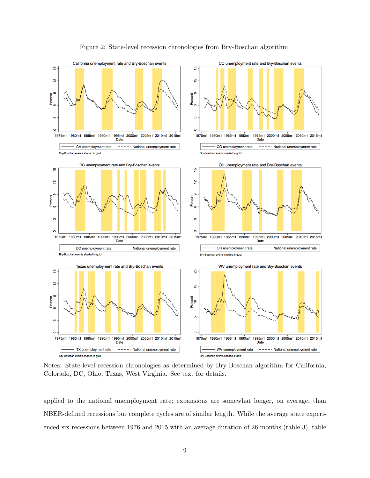

Figure 2: State-level recession chronologies from Bry-Boschan algorithm.

Notes: State-level recession chronologies as determined by Bry-Boschan algorithm for California, Colorado, DC, Ohio, Texas, West Virginia. See text for details.

applied to the national unemployment rate; expansions are somewhat longer, on average, than NBER-defined recessions but complete cycles are of similar length. While the average state experienced six recessions between 1976 and 2015 with an average duration of 26 months (table 3), table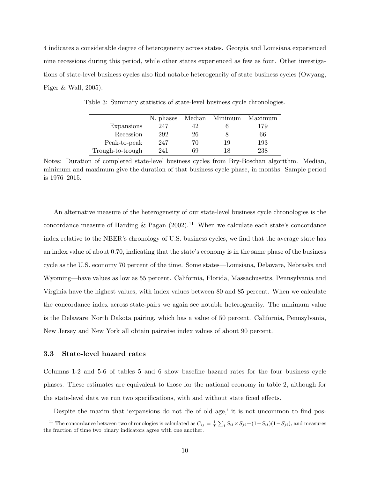4 indicates a considerable degree of heterogeneity across states. Georgia and Louisiana experienced nine recessions during this period, while other states experienced as few as four. Other investigations of state-level business cycles also find notable heterogeneity of state business cycles (Owyang, Piger & Wall, 2005).

|                  | N. phases | Median | Minimum | Maximum |
|------------------|-----------|--------|---------|---------|
| Expansions       | 247       | 42     |         | 179     |
| Recession        | 292       | 26     |         | 66      |
| Peak-to-peak     | 247       | 70     | 19      | 193     |
| Trough-to-trough | 241       | 69     | 18      | 238     |

Table 3: Summary statistics of state-level business cycle chronologies.

Notes: Duration of completed state-level business cycles from Bry-Boschan algorithm. Median, minimum and maximum give the duration of that business cycle phase, in months. Sample period is 1976–2015.

An alternative measure of the heterogeneity of our state-level business cycle chronologies is the concordance measure of Harding & Pagan  $(2002).<sup>11</sup>$  When we calculate each state's concordance index relative to the NBER's chronology of U.S. business cycles, we find that the average state has an index value of about 0.70, indicating that the state's economy is in the same phase of the business cycle as the U.S. economy 70 percent of the time. Some states—Louisiana, Delaware, Nebraska and Wyoming—have values as low as 55 percent. California, Florida, Massachusetts, Pennsylvania and Virginia have the highest values, with index values between 80 and 85 percent. When we calculate the concordance index across state-pairs we again see notable heterogeneity. The minimum value is the Delaware–North Dakota pairing, which has a value of 50 percent. California, Pennsylvania, New Jersey and New York all obtain pairwise index values of about 90 percent.

#### 3.3 State-level hazard rates

Columns 1-2 and 5-6 of tables 5 and 6 show baseline hazard rates for the four business cycle phases. These estimates are equivalent to those for the national economy in table 2, although for the state-level data we run two specifications, with and without state fixed effects.

Despite the maxim that 'expansions do not die of old age,' it is not uncommon to find pos-

<sup>&</sup>lt;sup>11</sup> The concordance between two chronologies is calculated as  $C_{ij} = \frac{1}{T} \sum_{t} S_{it} \times S_{jt} + (1 - S_{it})(1 - S_{jt})$ , and measures the fraction of time two binary indicators agree with one another.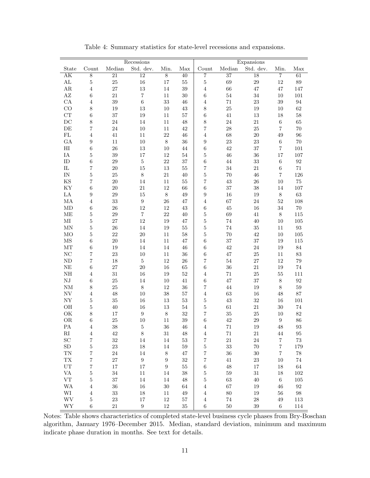|                          |                   |                 | Recessions       |                  |                      |                         |                 | Expansions      |                  |                   |
|--------------------------|-------------------|-----------------|------------------|------------------|----------------------|-------------------------|-----------------|-----------------|------------------|-------------------|
| State                    | Count             | Median          | Std. dev.        | Min.             | $\operatorname{Max}$ | Count                   | Median          | Std. dev.       | Min.             | Max               |
| $\overline{\rm AK}$      | $\overline{8}$    | $\overline{21}$ | $\overline{12}$  | $\overline{8}$   | $\overline{40}$      | 7                       | $\overline{37}$ | $\overline{18}$ | $\overline{7}$   | 61                |
| $\mathbf{AL}$            | $\bf 5$           | $25\,$          | $16\,$           | $17\,$           | $55\,$               | $\bf 5$                 | 69              | $\,29$          | 12               | $89\,$            |
| $\rm{AR}$                | $\,4\,$           | 27              | $13\,$           | 14               | 39                   | $\overline{4}$          | 66              | 47              | 47               | 147               |
| $\mathbf{A}\mathbf{Z}$   | $\,6\,$           | $21\,$          | $\,7$            | 11               | $30\,$               | $\,6$                   | $54\,$          | 34              | 10               | 101               |
| CA                       | $\overline{4}$    | 39              | $\,6\,$          | 33               | 46                   | $\overline{4}$          | 71              | 23              | 39               | 94                |
| CO                       | $\,8\,$           | 19              | $13\,$           | $10\,$           | 43                   | $\,$ $\,$               | 25              | 19              | 10               | $62\,$            |
| CT                       | $\,6\,$           | 37              | $19\,$           | 11               | 57                   | $\,6$                   | 41              | 13              | 18               | $58\,$            |
| DC                       | $8\,$             | 24              | 14               | 11               | 48                   | $\,$ $\,$               | $24\,$          | $21\,$          | 6                | $65\,$            |
| DE                       | $\scriptstyle{7}$ | $24\,$          | 10               | 11               | 42                   | $\overline{7}$          | 28              | $25\,$          | $\overline{7}$   | 70                |
| $\mathbf{FL}$            | $\overline{4}$    | 41              | 11               | 22               | 46                   | $\overline{4}$          | 68              | $20\,$          | 49               | 96                |
| GA                       | 9                 | 11              | 10               | $8\,$            | 36                   | $\boldsymbol{9}$        | $23\,$          | $\bf 23$        | $\,6$            | 70                |
| $\rm HI$                 | $\,6\,$           | 26              | $13\,$           | 10               | $44\,$               | $\,6$                   | $42\,$          | 37              | $\overline{7}$   | 101               |
| $\rm IA$                 | $\bf 5$           | $39\,$          | 17               | $12\,$           | $54\,$               | $\bf 5$                 | $\sqrt{46}$     | 36              | 17               | $107\,$           |
| $\rm ID$                 | 6                 | 29              | $\bf 5$          | $22\,$           | 37                   | $\,6$                   | 44              | 33              | $\,6\,$          | $\boldsymbol{92}$ |
| ${\rm IL}$               | $\,7$             | $20\,$          | 15               | 13               | $55\,$               | 7                       | 34              | $21\,$          | $\,6$            | $71\,$            |
| $\rm{IN}$                | $\bf 5$           | $25\,$          | $8\,$            | $21\,$           | 40                   | $\overline{5}$          | 70              | 46              | $\overline{7}$   | 126               |
| KS                       | $\scriptstyle{7}$ | 20              | 14               | 11               | $55\,$               | 7                       | $43\,$          | $26\,$          | 10               | $75\,$            |
| KY                       | $\,6$             | $20\,$          | 21               | 12               | 66                   | $\,6$                   | 37              | 38              | 14               | $107\,$           |
| $\rm{LA}$                | $\boldsymbol{9}$  | $\,29$          | 15               | $8\,$            | $49\,$               | $\boldsymbol{9}$        | $16\,$          | 19              | $\,8\,$          | $63\,$            |
| $\rm MA$                 | $\overline{4}$    | 33              | $\boldsymbol{9}$ | 26               | 47                   | $\overline{4}$          | 67              | 24              | 52               | 108               |
| $\rm MD$                 | $\,6$             | 26              | 12               | 12               | 43                   | $\,6$                   | $45\,$          | 16              | 34               | $70\,$            |
| МE                       | $\bf 5$           | 29              | $\,7$            | $22\,$           | 40                   | $\overline{5}$          | 69              | 41              | $\,8\,$          | 115               |
| $\rm MI$                 | $\bf 5$           | 27              | 12               |                  | 47                   |                         |                 |                 |                  |                   |
| $\mbox{MN}$              | $\bf 5$           | $26\,$          | 14               | 19               | $55\,$               | $\mathbf 5$             | $74\,$<br>74    | 40<br>$35\,$    | 10               | 105               |
|                          | $\bf 5$           |                 |                  | 19               |                      | $\overline{5}$          |                 |                 | 11               | $\boldsymbol{93}$ |
| MO                       |                   | 22              | $20\,$           | 11               | 58                   | $\bf 5$                 | 70              | 42              | 10               | $105\,$           |
| $\rm{MS}$                | $\,6$             | 20              | 14               | 11               | 47                   | $\,6$                   | 37              | 37              | 19               | $115\,$           |
| MТ                       | $\,6\,$           | 19              | 14               | 14               | 46                   | $\,6\,$                 | $42\,$          | $\sqrt{24}$     | 19               | $84\,$            |
| $\rm NC$                 | 7                 | 23              | 10               | 11               | 36                   | $\,6\,$                 | 47              | $25\,$          | 11               | $83\,$            |
| ND                       | $\scriptstyle{7}$ | 18              | $\bf 5$          | 12               | 26                   | 7                       | $54\,$          | 27              | 12               | $79\,$            |
| NE                       | $\,6\,$           | 27              | $20\,$           | $16\,$           | 65                   | $\,6\,$                 | 36              | $21\,$          | 19               | 74                |
| $\rm NH$                 | $\overline{4}$    | 31              | 16               | 19               | $52\,$               | $\,4\,$                 | 71              | $25\,$          | $55\,$           | 111               |
| ${\rm N J}$              | $\,6$             | $25\,$          | 14               | 10               | 41                   | $\,6$                   | 47              | 37              | $\,8\,$          | $\rm 92$          |
| $\mathrm{NM}$            | $\,8\,$           | 25              | $8\,$            | 12               | 36                   | 7                       | 44              | 19              | 8                | $59\,$            |
| ${\rm NV}$               | $\overline{4}$    | 48              | 10               | 38               | 57                   | $\overline{4}$          | 63              | 16              | 48               | $87\,$            |
| NY                       | $\bf 5$           | $35\,$          | $16\,$           | $13\,$           | 53                   | $\mathbf 5$             | $43\,$          | $32\,$          | 16               | 101               |
| $\rm OH$                 | $\bf 5$           | $40\,$          | $16\,$           | $13\,$           | $54\,$               | $\bf 5$                 | 61              | $21\,$          | 30               | $74\,$            |
| OK                       | $8\,$             | 17              | $\boldsymbol{9}$ | $8\,$            | 32                   | 7                       | 35              | $25\,$          | 10               | $82\,$            |
| <b>OR</b>                | $\,6\,$           | 25              | 10               | 11               | 39                   | $\,6$                   | 42              | 29              | $\boldsymbol{9}$ | 86                |
| РA                       | $\overline{4}$    | 38              | $\overline{5}$   | $36\,$           | $\sqrt{46}$          | 4                       | 71              | $19\,$          | 48               | $\boldsymbol{93}$ |
| $\rm RI$                 | $\,4\,$           | 42              | $\,8\,$          | 31               | 48                   | 4                       | 71              | 21              | 44               | 95                |
| $\operatorname{SC}$      | $\,7$             | $32\,$          | 14               | $14\,$           | 53                   | $\overline{\mathbf{7}}$ | $21\,$          | $24\,$          | $\overline{7}$   | $73\,$            |
| ${\rm SD}$               | $\bf 5$           | $23\,$          | $18\,$           | $14\,$           | $59\,$               | $\bf 5$                 | $33\,$          | $70\,$          | $\,7$            | 179               |
| $\mathcal{T}\mathcal{N}$ | $\,7$             | 24              | 14               | $8\,$            | $47\,$               | $\overline{7}$          | $36\,$          | $30\,$          | $\,7$            | $78\,$            |
| ${\rm TX}$               | $\,7$             | $27\,$          | $\boldsymbol{9}$ | $\boldsymbol{9}$ | $32\,$               | $\scriptstyle{7}$       | $41\,$          | $23\,$          | 10               | $74\,$            |
| $\rm UT$                 | $\,7$             | $17\,$          | $17\,$           | $\boldsymbol{9}$ | $55\,$               | 6                       | $48\,$          | $17\,$          | 18               | $64\,$            |
| VA                       | $\overline{5}$    | $34\,$          | 11               | 14               | 38                   | $\bf 5$                 | $59\,$          | $31\,$          | 18               | $102\,$           |
| ${\rm VT}$               | $\bf 5$           | $37\,$          | 14               | 14               | 48                   | $\bf 5$                 | $63\,$          | 40              | 6                | $105\,$           |
| <b>WA</b>                | $\sqrt{4}$        | $36\,$          | $16\,$           | $30\,$           | 64                   | $\,4\,$                 | $67\,$          | $19\,$          | 46               | $\rm 92$          |
| WI                       | $\,4\,$           | $33\,$          | 18               | 11               | 49                   | 4                       | 80              | 19              | 56               | $98\,$            |
| <b>WV</b>                | $\bf 5$           | 23              | 17               | 12               | 57                   | $\overline{4}$          | $74\,$          | ${\bf 28}$      | 49               | 113               |
| WY                       | 6                 | 21              | 9                | 12               | $35\,$               | 6                       | $50\,$          | 39              | 6                | 114               |

Table 4: Summary statistics for state-level recessions and expansions.

Notes: Table shows characteristics of completed state-level business cycle phases from Bry-Boschan algorithm, January 1976–December 2015. Median, standard deviation, minimum and maximum indicate phase duration in months. See text for details.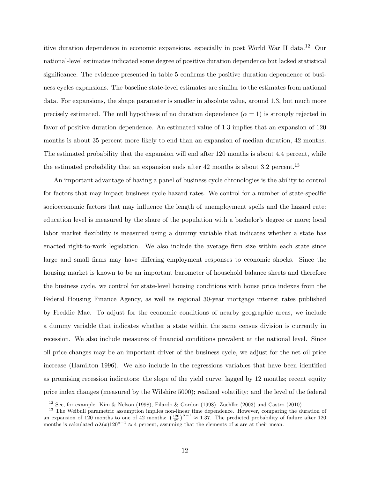itive duration dependence in economic expansions, especially in post World War II data.<sup>12</sup> Our national-level estimates indicated some degree of positive duration dependence but lacked statistical significance. The evidence presented in table 5 confirms the positive duration dependence of business cycles expansions. The baseline state-level estimates are similar to the estimates from national data. For expansions, the shape parameter is smaller in absolute value, around 1.3, but much more precisely estimated. The null hypothesis of no duration dependence  $(\alpha = 1)$  is strongly rejected in favor of positive duration dependence. An estimated value of 1.3 implies that an expansion of 120 months is about 35 percent more likely to end than an expansion of median duration, 42 months. The estimated probability that the expansion will end after 120 months is about 4.4 percent, while the estimated probability that an expansion ends after  $42$  months is about  $3.2$  percent.<sup>13</sup>

An important advantage of having a panel of business cycle chronologies is the ability to control for factors that may impact business cycle hazard rates. We control for a number of state-specific socioeconomic factors that may influence the length of unemployment spells and the hazard rate: education level is measured by the share of the population with a bachelor's degree or more; local labor market flexibility is measured using a dummy variable that indicates whether a state has enacted right-to-work legislation. We also include the average firm size within each state since large and small firms may have differing employment responses to economic shocks. Since the housing market is known to be an important barometer of household balance sheets and therefore the business cycle, we control for state-level housing conditions with house price indexes from the Federal Housing Finance Agency, as well as regional 30-year mortgage interest rates published by Freddie Mac. To adjust for the economic conditions of nearby geographic areas, we include a dummy variable that indicates whether a state within the same census division is currently in recession. We also include measures of financial conditions prevalent at the national level. Since oil price changes may be an important driver of the business cycle, we adjust for the net oil price increase (Hamilton 1996). We also include in the regressions variables that have been identified as promising recession indicators: the slope of the yield curve, lagged by 12 months; recent equity price index changes (measured by the Wilshire 5000); realized volatility; and the level of the federal

 $12$  See, for example: Kim & Nelson (1998), Filardo & Gordon (1998), Zuehlke (2003) and Castro (2010).

<sup>&</sup>lt;sup>13</sup> The Weibull parametric assumption implies non-linear time dependence. However, comparing the duration of an expansion of 120 months to one of 42 months:  $\left(\frac{120}{42}\right)^{\alpha-1} \approx 1.37$ . The predicted probability of failure after 120 months is calculated  $\alpha\lambda(x)120^{\alpha-1} \approx 4$  percent, assuming that the elements of x are at their mean.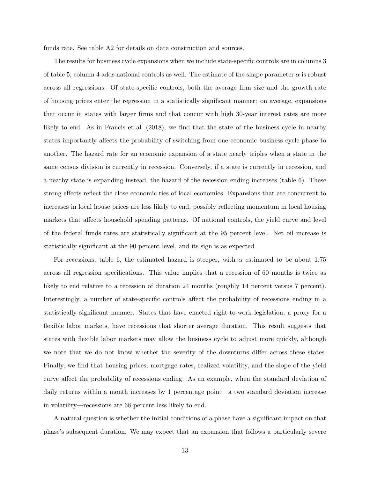funds rate. See table A2 for details on data construction and sources.

The results for business cycle expansions when we include state-specific controls are in columns 3 of table 5; column 4 adds national controls as well. The estimate of the shape parameter  $\alpha$  is robust across all regressions. Of state-specific controls, both the average firm size and the growth rate of housing prices enter the regression in a statistically significant manner: on average, expansions that occur in states with larger firms and that concur with high 30-year interest rates are more likely to end. As in Francis et al. (2018), we find that the state of the business cycle in nearby states importantly affects the probability of switching from one economic business cycle phase to another. The hazard rate for an economic expansion of a state nearly triples when a state in the same census division is currently in recession. Conversely, if a state is currently in recession, and a nearby state is expanding instead, the hazard of the recession ending increases (table 6). These strong effects reflect the close economic ties of local economies. Expansions that are concurrent to increases in local house prices are less likely to end, possibly reflecting momentum in local housing markets that affects household spending patterns. Of national controls, the yield curve and level of the federal funds rates are statistically significant at the 95 percent level. Net oil increase is statistically significant at the 90 percent level, and its sign is as expected.

For recessions, table 6, the estimated hazard is steeper, with  $\alpha$  estimated to be about 1.75 across all regression specifications. This value implies that a recession of 60 months is twice as likely to end relative to a recession of duration 24 months (roughly 14 percent versus 7 percent). Interestingly, a number of state-specific controls affect the probability of recessions ending in a statistically significant manner. States that have enacted right-to-work legislation, a proxy for a flexible labor markets, have recessions that shorter average duration. This result suggests that states with flexible labor markets may allow the business cycle to adjust more quickly, although we note that we do not know whether the severity of the downturns differ across these states. Finally, we find that housing prices, mortgage rates, realized volatility, and the slope of the yield curve affect the probability of recessions ending. As an example, when the standard deviation of daily returns within a month increases by 1 percentage point—a two standard deviation increase in volatility—recessions are 68 percent less likely to end.

A natural question is whether the initial conditions of a phase have a significant impact on that phase's subsequent duration. We may expect that an expansion that follows a particularly severe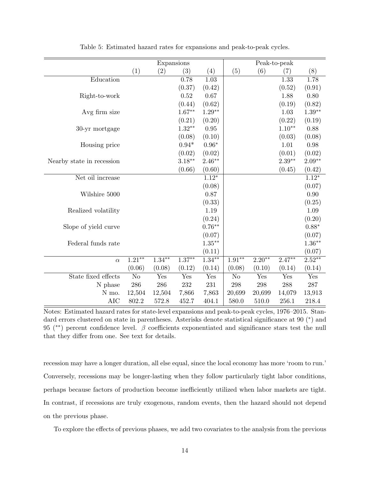|                           |           | Expansions |           |           |          |          | Peak-to-peak |           |
|---------------------------|-----------|------------|-----------|-----------|----------|----------|--------------|-----------|
|                           | (1)       | (2)        | (3)       | (4)       | (5)      | (6)      | (7)          | (8)       |
| Education                 |           |            | 0.78      | 1.03      |          |          | 1.33         | 1.78      |
|                           |           |            | (0.37)    | (0.42)    |          |          | (0.52)       | (0.91)    |
| Right-to-work             |           |            | 0.52      | 0.67      |          |          | 1.88         | 0.80      |
|                           |           |            | (0.44)    | (0.62)    |          |          | (0.19)       | (0.82)    |
| Avg firm size             |           |            | $1.67**$  | $1.29**$  |          |          | 1.03         | $1.39**$  |
|                           |           |            | (0.21)    | (0.20)    |          |          | (0.22)       | (0.19)    |
| 30-yr mortgage            |           |            | $1.32**$  | $0.95\,$  |          |          | $1.10**$     | 0.88      |
|                           |           |            | (0.08)    | (0.10)    |          |          | (0.03)       | (0.08)    |
| Housing price             |           |            | $0.94*$   | $0.96*$   |          |          | 1.01         | 0.98      |
|                           |           |            | (0.02)    | (0.02)    |          |          | (0.01)       | (0.02)    |
| Nearby state in recession |           |            | $3.18***$ | $2.46**$  |          |          | $2.39**$     | $2.09**$  |
|                           |           |            | (0.66)    | (0.60)    |          |          | (0.45)       | (0.42)    |
| Net oil increase          |           |            |           | $1.12*$   |          |          |              | $1.12*$   |
|                           |           |            |           | (0.08)    |          |          |              | (0.07)    |
| Wilshire 5000             |           |            |           | 0.87      |          |          |              | 0.90      |
|                           |           |            |           | (0.33)    |          |          |              | (0.25)    |
| Realized volatility       |           |            |           | 1.19      |          |          |              | 1.09      |
|                           |           |            |           | (0.24)    |          |          |              | (0.20)    |
| Slope of yield curve      |           |            |           | $0.76**$  |          |          |              | $0.88*$   |
|                           |           |            |           | (0.07)    |          |          |              | (0.07)    |
| Federal funds rate        |           |            |           | $1.35***$ |          |          |              | $1.36**$  |
|                           |           |            |           | (0.11)    |          |          |              | (0.07)    |
| $\alpha$                  | $1.21***$ | $1.34***$  | $1.37**$  | $1.34***$ | $1.91**$ | $2.20**$ | $2.47**$     | $2.52***$ |
|                           | (0.06)    | (0.08)     | (0.12)    | (0.14)    | (0.08)   | (0.10)   | (0.14)       | (0.14)    |
| State fixed effects       | No        | Yes        | Yes       | Yes       | No       | Yes      | Yes          | Yes       |
| N phase                   | $\,286$   | 286        | 232       | $231\,$   | 298      | 298      | 288          | $287\,$   |
| N mo.                     | 12,504    | 12,504     | 7,866     | 7,863     | 20,699   | 20,699   | 14,079       | 13,913    |
| <b>AIC</b>                | 802.2     | 572.8      | 452.7     | 404.1     | 580.0    | 510.0    | 256.1        | 218.4     |

Table 5: Estimated hazard rates for expansions and peak-to-peak cycles.

Notes: Estimated hazard rates for state-level expansions and peak-to-peak cycles, 1976–2015. Standard errors clustered on state in parentheses. Asterisks denote statistical significance at 90<sup>\*</sup>) and 95 (<sup>\*\*</sup>) percent confidence level.  $\beta$  coefficients exponentiated and significance stars test the null that they differ from one. See text for details.

recession may have a longer duration, all else equal, since the local economy has more 'room to run.' Conversely, recessions may be longer-lasting when they follow particularly tight labor conditions, perhaps because factors of production become inefficiently utilized when labor markets are tight. In contrast, if recessions are truly exogenous, random events, then the hazard should not depend on the previous phase.

To explore the effects of previous phases, we add two covariates to the analysis from the previous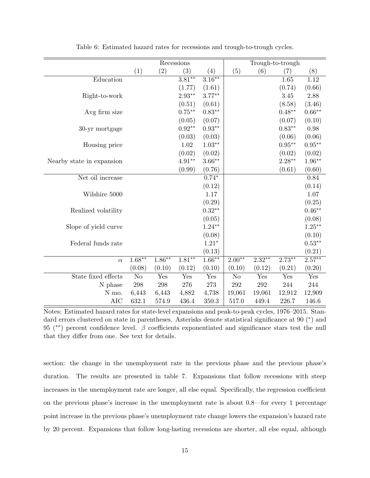|                           |           |           | Recessions        |                   |          |           | Trough-to-trough |                   |
|---------------------------|-----------|-----------|-------------------|-------------------|----------|-----------|------------------|-------------------|
|                           | (1)       | (2)       | (3)               | (4)               | (5)      | (6)       | (7)              | (8)               |
| Education                 |           |           | $3.81**$          | $3.16***$         |          |           | 1.65             | 1.12              |
|                           |           |           | (1.77)            | (1.61)            |          |           | (0.74)           | (0.66)            |
| Right-to-work             |           |           | $2.93**$          | $3.77***$         |          |           | 3.45             | 2.88              |
|                           |           |           | (0.51)            | (0.61)            |          |           | (8.58)           | (3.46)            |
| Avg firm size             |           |           | $0.75***$         | $0.83^{\ast\ast}$ |          |           | $0.48**$         | $0.66^{\ast\ast}$ |
|                           |           |           | (0.05)            | (0.07)            |          |           | (0.07)           | (0.10)            |
| 30-yr mortgage            |           |           | $0.92^{\ast\ast}$ | $0.93^{\ast\ast}$ |          |           | $0.83**$         | 0.98              |
|                           |           |           | (0.03)            | (0.03)            |          |           | (0.06)           | (0.06)            |
| Housing price             |           |           | $1.02\,$          | $1.03^{\ast\ast}$ |          |           | $0.95***$        | $0.95^{\ast\ast}$ |
|                           |           |           | (0.02)            | (0.02)            |          |           | (0.02)           | (0.02)            |
| Nearby state in expansion |           |           | $4.91**$          | $3.66**$          |          |           | $2.28**$         | $1.96**$          |
|                           |           |           | (0.99)            | (0.76)            |          |           | (0.61)           | (0.60)            |
| Net oil increase          |           |           |                   | $0.74*$           |          |           |                  | 0.84              |
|                           |           |           |                   | (0.12)            |          |           |                  | (0.14)            |
| Wilshire 5000             |           |           |                   | 1.17              |          |           |                  | 1.07              |
|                           |           |           |                   | (0.29)            |          |           |                  | (0.25)            |
| Realized volatility       |           |           |                   | $0.32**$          |          |           |                  | $0.46**$          |
|                           |           |           |                   | (0.05)            |          |           |                  | (0.08)            |
| Slope of yield curve      |           |           |                   | $1.24**$          |          |           |                  | $1.25***$         |
|                           |           |           |                   | (0.08)            |          |           |                  | (0.10)            |
| Federal funds rate        |           |           |                   | $1.21*$           |          |           |                  | $0.53**$          |
|                           |           |           |                   | (0.13)            |          |           |                  | (0.21)            |
| $\alpha$                  | $1.68***$ | $1.86***$ | $1.81***$         | $1.66***$         | $2.00**$ | $2.32***$ | $2.73***$        | $2.57***$         |
|                           | (0.08)    | (0.10)    | (0.12)            | (0.10)            | (0.10)   | (0.12)    | (0.21)           | (0.20)            |
| State fixed effects       | No        | Yes       | Yes               | Yes               | No       | Yes       | Yes              | Yes               |
| N phase                   | $\,298$   | 298       | 276               | $273\,$           | 292      | 292       | 244              | 244               |
| N mo.                     | 6,443     | 6,443     | 4,882             | 4,738             | 19,061   | 19,061    | 12,912           | 12,909            |
| <b>AIC</b>                | 632.1     | 574.9     | 436.4             | 350.3             | 517.0    | 449.4     | 226.7            | 146.6             |

Table 6: Estimated hazard rates for recessions and trough-to-trough cycles.

Notes: Estimated hazard rates for state-level expansions and peak-to-peak cycles, 1976–2015. Standard errors clustered on state in parentheses. Asterisks denote statistical significance at 90<sup>\*</sup>) and 95 (<sup>\*\*</sup>) percent confidence level.  $\beta$  coefficients exponentiated and significance stars test the null that they differ from one. See text for details.

section: the change in the unemployment rate in the previous phase and the previous phase's duration. The results are presented in table 7. Expansions that follow recessions with steep increases in the unemployment rate are longer, all else equal. Specifically, the regression coefficient on the previous phase's increase in the unemployment rate is about 0.8—for every 1 percentage point increase in the previous phase's unemployment rate change lowers the expansion's hazard rate by 20 percent. Expansions that follow long-lasting recessions are shorter, all else equal, although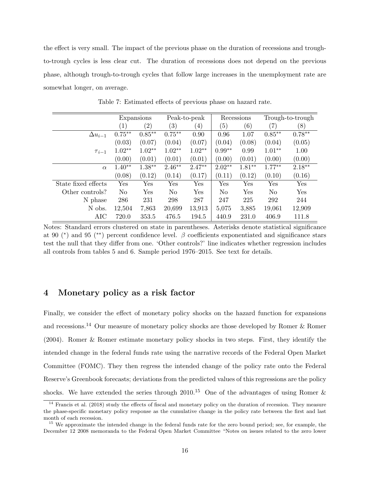the effect is very small. The impact of the previous phase on the duration of recessions and troughto-trough cycles is less clear cut. The duration of recessions does not depend on the previous phase, although trough-to-trough cycles that follow large increases in the unemployment rate are somewhat longer, on average.

|                     | Expansions        |                   |                   | Peak-to-peak      |                | Recessions |                | Trough-to-trough |
|---------------------|-------------------|-------------------|-------------------|-------------------|----------------|------------|----------------|------------------|
|                     | $\left( 1\right)$ | $\left( 2\right)$ | $\left( 3\right)$ | $\left( 4\right)$ | (5)            | (6)        | (7)            | (8)              |
| $\Delta u_{i-1}$    | $0.75***$         | $0.85***$         | $0.75***$         | 0.90              | 0.96           | 1.07       | $0.85***$      | $0.78**$         |
|                     | (0.03)            | (0.07)            | (0.04)            | (0.07)            | (0.04)         | (0.08)     | (0.04)         | (0.05)           |
| $\tau_{i-1}$        | $1.02**$          | $1.02**$          | $1.02**$          | $1.02**$          | $0.99**$       | 0.99       | $1.01**$       | 1.00             |
|                     | (0.00)            | (0.01)            | (0.01)            | (0.01)            | (0.00)         | (0.01)     | (0.00)         | (0.00)           |
| $\alpha$            | $1.40**$          | $1.38***$         | $2.46**$          | $2.47**$          | $2.02**$       | $1.81**$   | $1.77***$      | $2.18**$         |
|                     | (0.08)            | (0.12)            | (0.14)            | (0.17)            | (0.11)         | (0.12)     | (0.10)         | (0.16)           |
| State fixed effects | Yes               | Yes               | Yes               | Yes               | Yes            | Yes        | Yes            | Yes              |
| Other controls?     | No                | Yes               | No                | Yes               | N <sub>o</sub> | Yes        | N <sub>o</sub> | Yes              |
| N phase             | 286               | 231               | 298               | 287               | 247            | 225        | 292            | 244              |
| N obs.              | 12,504            | 7,863             | 20,699            | 13,913            | 5,075          | 3,885      | 19,061         | 12,909           |
| AIC                 | 720.0             | 353.5             | 476.5             | 194.5             | 440.9          | 231.0      | 406.9          | 111.8            |

Table 7: Estimated effects of previous phase on hazard rate.

Notes: Standard errors clustered on state in parentheses. Asterisks denote statistical significance at 90 (\*) and 95 (\*\*) percent confidence level.  $\beta$  coefficients exponentiated and significance stars test the null that they differ from one. 'Other controls?' line indicates whether regression includes all controls from tables 5 and 6. Sample period 1976–2015. See text for details.

# 4 Monetary policy as a risk factor

Finally, we consider the effect of monetary policy shocks on the hazard function for expansions and recessions.<sup>14</sup> Our measure of monetary policy shocks are those developed by Romer & Romer (2004). Romer & Romer estimate monetary policy shocks in two steps. First, they identify the intended change in the federal funds rate using the narrative records of the Federal Open Market Committee (FOMC). They then regress the intended change of the policy rate onto the Federal Reserve's Greenbook forecasts; deviations from the predicted values of this regressions are the policy shocks. We have extended the series through 2010.<sup>15</sup> One of the advantages of using Romer &

 $14$  Francis et al. (2018) study the effects of fiscal and monetary policy on the duration of recession. They measure the phase-specific monetary policy response as the cumulative change in the policy rate between the first and last month of each recession.

<sup>&</sup>lt;sup>15</sup> We approximate the intended change in the federal funds rate for the zero bound period; see, for example, the December 12 2008 memoranda to the Federal Open Market Committee "Notes on issues related to the zero lower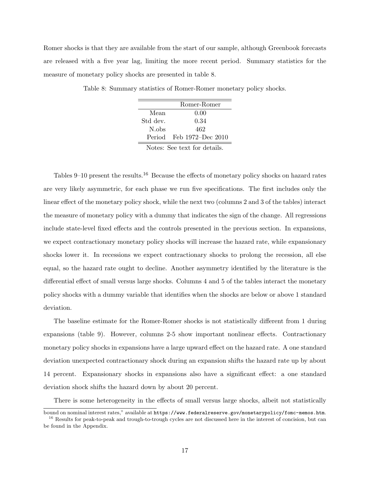Romer shocks is that they are available from the start of our sample, although Greenbook forecasts are released with a five year lag, limiting the more recent period. Summary statistics for the measure of monetary policy shocks are presented in table 8.

|          | Romer-Romer              |
|----------|--------------------------|
| Mean     | 0.00                     |
| Std dev. | 0.34                     |
| N.obs    | 462                      |
|          | Period Feb 1972–Dec 2010 |
| T.       |                          |

Table 8: Summary statistics of Romer-Romer monetary policy shocks.

Notes: See text for details.

Tables 9–10 present the results.<sup>16</sup> Because the effects of monetary policy shocks on hazard rates are very likely asymmetric, for each phase we run five specifications. The first includes only the linear effect of the monetary policy shock, while the next two (columns 2 and 3 of the tables) interact the measure of monetary policy with a dummy that indicates the sign of the change. All regressions include state-level fixed effects and the controls presented in the previous section. In expansions, we expect contractionary monetary policy shocks will increase the hazard rate, while expansionary shocks lower it. In recessions we expect contractionary shocks to prolong the recession, all else equal, so the hazard rate ought to decline. Another asymmetry identified by the literature is the differential effect of small versus large shocks. Columns 4 and 5 of the tables interact the monetary policy shocks with a dummy variable that identifies when the shocks are below or above 1 standard deviation.

The baseline estimate for the Romer-Romer shocks is not statistically different from 1 during expansions (table 9). However, columns 2-5 show important nonlinear effects. Contractionary monetary policy shocks in expansions have a large upward effect on the hazard rate. A one standard deviation unexpected contractionary shock during an expansion shifts the hazard rate up by about 14 percent. Expansionary shocks in expansions also have a significant effect: a one standard deviation shock shifts the hazard down by about 20 percent.

There is some heterogeneity in the effects of small versus large shocks, albeit not statistically

bound on nominal interest rates," available at https://www.federalreserve.gov/monetarypolicy/fomc-memos.htm. <sup>16</sup> Results for peak-to-peak and trough-to-trough cycles are not discussed here in the interest of concision, but can be found in the Appendix.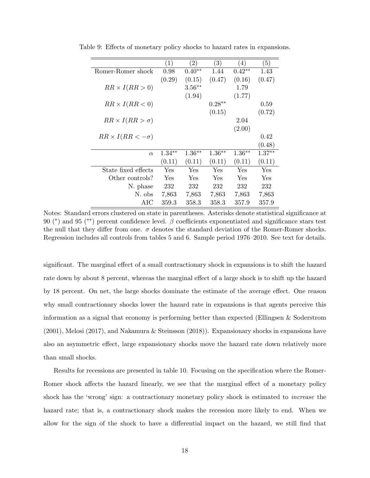|                             | $\left( 1\right)$ | (2)       | (3)       | (4)       | (5)       |
|-----------------------------|-------------------|-----------|-----------|-----------|-----------|
| Romer-Romer shock           | 0.98              | $0.40**$  | 1.44      | $0.42**$  | 1.43      |
|                             | (0.29)            | (0.15)    | (0.47)    | (0.16)    | (0.47)    |
| $RR \times I(RR > 0)$       |                   | $3.56***$ |           | 1.79      |           |
|                             |                   | (1.94)    |           | (1.77)    |           |
| $RR \times I(RR < 0)$       |                   |           | $0.28**$  |           | 0.59      |
|                             |                   |           | (0.15)    |           | (0.72)    |
| $RR \times I(RR > \sigma)$  |                   |           |           | 2.04      |           |
|                             |                   |           |           | (2.00)    |           |
| $RR \times I(RR < -\sigma)$ |                   |           |           |           | 0.42      |
|                             |                   |           |           |           | (0.48)    |
| $\alpha$                    | $1.34**$          | $1.36***$ | $1.36***$ | $1.36***$ | $1.37***$ |
|                             | (0.11)            | (0.11)    | (0.11)    | (0.11)    | (0.11)    |
| State fixed effects         | Yes               | Yes       | Yes       | Yes       | Yes       |
| Other controls?             | Yes               | Yes       | Yes       | Yes       | Yes       |
| N. phase                    | 232               | 232       | 232       | 232       | 232       |
| N. obs                      | 7,863             | 7,863     | 7,863     | 7,863     | 7,863     |
| AIC                         | 359.3             | 358.3     | 358.3     | 357.9     | 357.9     |

Table 9: Effects of monetary policy shocks to hazard rates in expansions.

Notes: Standard errors clustered on state in parentheses. Asterisks denote statistical significance at 90 (\*) and 95 (\*\*) percent confidence level.  $\beta$  coefficients exponentiated and significance stars test the null that they differ from one.  $\sigma$  denotes the standard deviation of the Romer-Romer shocks. Regression includes all controls from tables 5 and 6. Sample period 1976–2010. See text for details.

significant. The marginal effect of a small contractionary shock in expansions is to shift the hazard rate down by about 8 percent, whereas the marginal effect of a large shock is to shift up the hazard by 18 percent. On net, the large shocks dominate the estimate of the average effect. One reason why small contractionary shocks lower the hazard rate in expansions is that agents perceive this information as a signal that economy is performing better than expected (Ellingsen & Soderstrom (2001), Melosi (2017), and Nakamura & Steinsson (2018)). Expansionary shocks in expansions have also an asymmetric effect, large expansionary shocks move the hazard rate down relatively more than small shocks.

Results for recessions are presented in table 10. Focusing on the specification where the Romer-Romer shock affects the hazard linearly, we see that the marginal effect of a monetary policy shock has the 'wrong' sign: a contractionary monetary policy shock is estimated to increase the hazard rate; that is, a contractionary shock makes the recession more likely to end. When we allow for the sign of the shock to have a differential impact on the hazard, we still find that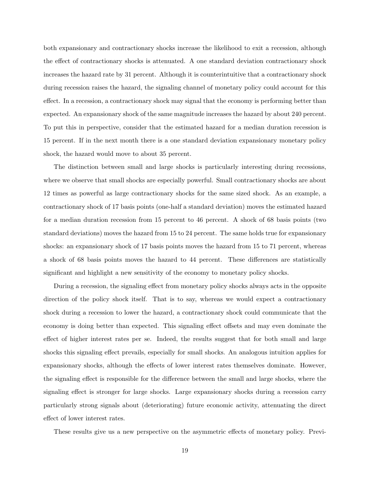both expansionary and contractionary shocks increase the likelihood to exit a recession, although the effect of contractionary shocks is attenuated. A one standard deviation contractionary shock increases the hazard rate by 31 percent. Although it is counterintuitive that a contractionary shock during recession raises the hazard, the signaling channel of monetary policy could account for this effect. In a recession, a contractionary shock may signal that the economy is performing better than expected. An expansionary shock of the same magnitude increases the hazard by about 240 percent. To put this in perspective, consider that the estimated hazard for a median duration recession is 15 percent. If in the next month there is a one standard deviation expansionary monetary policy shock, the hazard would move to about 35 percent.

The distinction between small and large shocks is particularly interesting during recessions, where we observe that small shocks are especially powerful. Small contractionary shocks are about 12 times as powerful as large contractionary shocks for the same sized shock. As an example, a contractionary shock of 17 basis points (one-half a standard deviation) moves the estimated hazard for a median duration recession from 15 percent to 46 percent. A shock of 68 basis points (two standard deviations) moves the hazard from 15 to 24 percent. The same holds true for expansionary shocks: an expansionary shock of 17 basis points moves the hazard from 15 to 71 percent, whereas a shock of 68 basis points moves the hazard to 44 percent. These differences are statistically significant and highlight a new sensitivity of the economy to monetary policy shocks.

During a recession, the signaling effect from monetary policy shocks always acts in the opposite direction of the policy shock itself. That is to say, whereas we would expect a contractionary shock during a recession to lower the hazard, a contractionary shock could communicate that the economy is doing better than expected. This signaling effect offsets and may even dominate the effect of higher interest rates per se. Indeed, the results suggest that for both small and large shocks this signaling effect prevails, especially for small shocks. An analogous intuition applies for expansionary shocks, although the effects of lower interest rates themselves dominate. However, the signaling effect is responsible for the difference between the small and large shocks, where the signaling effect is stronger for large shocks. Large expansionary shocks during a recession carry particularly strong signals about (deteriorating) future economic activity, attenuating the direct effect of lower interest rates.

These results give us a new perspective on the asymmetric effects of monetary policy. Previ-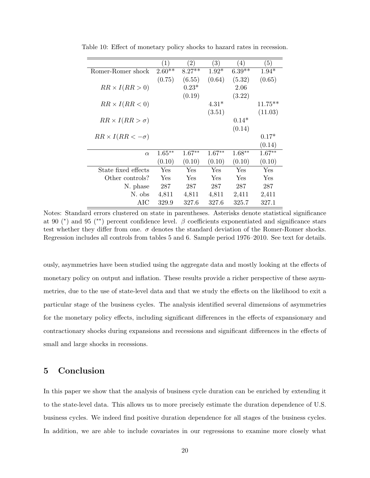|                             | $\left( 1\right)$ | (2)      | (3)      | (4)       | (5)        |
|-----------------------------|-------------------|----------|----------|-----------|------------|
| Romer-Romer shock           | $2.60**$          | $8.27**$ | $1.92*$  | $6.39**$  | $1.94*$    |
|                             | (0.75)            | (6.55)   | (0.64)   | (5.32)    | (0.65)     |
| $RR \times I(RR > 0)$       |                   | $0.23*$  |          | 2.06      |            |
|                             |                   | (0.19)   |          | (3.22)    |            |
| $RR \times I(RR < 0)$       |                   |          | $4.31*$  |           | $11.75***$ |
|                             |                   |          | (3.51)   |           | (11.03)    |
| $RR \times I(RR > \sigma)$  |                   |          |          | $0.14*$   |            |
|                             |                   |          |          | (0.14)    |            |
| $RR \times I(RR < -\sigma)$ |                   |          |          |           | $0.17*$    |
|                             |                   |          |          |           | (0.14)     |
| $\alpha$                    | $1.65***$         | $1.67**$ | $1.67**$ | $1.68***$ | $1.67**$   |
|                             | (0.10)            | (0.10)   | (0.10)   | (0.10)    | (0.10)     |
| State fixed effects         | Yes               | Yes      | Yes      | Yes       | Yes        |
| Other controls?             | Yes               | Yes      | Yes      | Yes       | Yes        |
| N. phase                    | 287               | 287      | 287      | 287       | 287        |
| N. obs                      | 4,811             | 4,811    | 4,811    | 2,411     | 2,411      |
| AIC                         | 329.9             | 327.6    | 327.6    | 325.7     | 327.1      |

Table 10: Effect of monetary policy shocks to hazard rates in recession.

Notes: Standard errors clustered on state in parentheses. Asterisks denote statistical significance at 90 (\*) and 95 (\*\*) percent confidence level.  $\beta$  coefficients exponentiated and significance stars test whether they differ from one.  $\sigma$  denotes the standard deviation of the Romer-Romer shocks. Regression includes all controls from tables 5 and 6. Sample period 1976–2010. See text for details.

ously, asymmetries have been studied using the aggregate data and mostly looking at the effects of monetary policy on output and inflation. These results provide a richer perspective of these asymmetries, due to the use of state-level data and that we study the effects on the likelihood to exit a particular stage of the business cycles. The analysis identified several dimensions of asymmetries for the monetary policy effects, including significant differences in the effects of expansionary and contractionary shocks during expansions and recessions and significant differences in the effects of small and large shocks in recessions.

## 5 Conclusion

In this paper we show that the analysis of business cycle duration can be enriched by extending it to the state-level data. This allows us to more precisely estimate the duration dependence of U.S. business cycles. We indeed find positive duration dependence for all stages of the business cycles. In addition, we are able to include covariates in our regressions to examine more closely what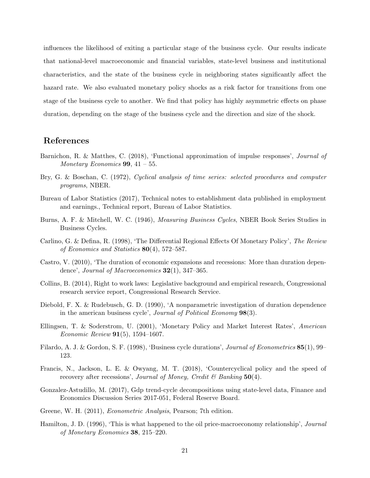influences the likelihood of exiting a particular stage of the business cycle. Our results indicate that national-level macroeconomic and financial variables, state-level business and institutional characteristics, and the state of the business cycle in neighboring states significantly affect the hazard rate. We also evaluated monetary policy shocks as a risk factor for transitions from one stage of the business cycle to another. We find that policy has highly asymmetric effects on phase duration, depending on the stage of the business cycle and the direction and size of the shock.

# References

- Barnichon, R. & Matthes, C. (2018), 'Functional approximation of impulse responses', Journal of Monetary Economics  $99, 41 - 55$ .
- Bry, G. & Boschan, C. (1972), Cyclical analysis of time series: selected procedures and computer programs, NBER.
- Bureau of Labor Statistics (2017), Technical notes to establishment data published in employment and earnings., Technical report, Bureau of Labor Statistics.
- Burns, A. F. & Mitchell, W. C. (1946), Measuring Business Cycles, NBER Book Series Studies in Business Cycles.
- Carlino, G. & Defina, R. (1998), 'The Differential Regional Effects Of Monetary Policy', The Review of Economics and Statistics 80(4), 572–587.
- Castro, V. (2010), 'The duration of economic expansions and recessions: More than duration dependence', Journal of Macroeconomics  $32(1)$ ,  $347-365$ .
- Collins, B. (2014), Right to work laws: Legislative background and empirical research, Congressional research service report, Congressional Research Service.
- Diebold, F. X. & Rudebusch, G. D. (1990), 'A nonparametric investigation of duration dependence in the american business cycle', Journal of Political Economy 98(3).
- Ellingsen, T. & Soderstrom, U. (2001), 'Monetary Policy and Market Interest Rates', American *Economic Review* **91**(5), 1594–1607.
- Filardo, A. J. & Gordon, S. F. (1998), 'Business cycle durations', *Journal of Econometrics* 85(1), 99– 123.
- Francis, N., Jackson, L. E. & Owyang, M. T. (2018), 'Countercyclical policy and the speed of recovery after recessions', Journal of Money, Credit  $\mathcal C$  Banking 50(4).
- Gonzalez-Astudillo, M. (2017), Gdp trend-cycle decompositions using state-level data, Finance and Economics Discussion Series 2017-051, Federal Reserve Board.
- Greene, W. H. (2011), Econometric Analysis, Pearson; 7th edition.
- Hamilton, J. D. (1996), 'This is what happened to the oil price-macroeconomy relationship', Journal of Monetary Economics 38, 215–220.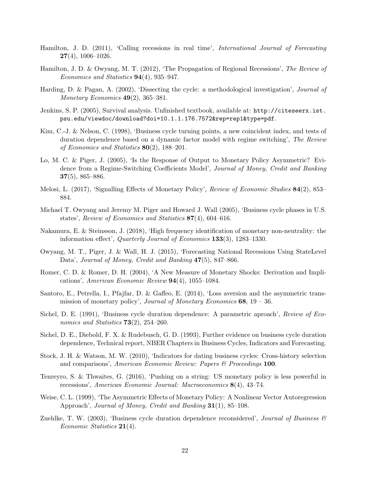- Hamilton, J. D. (2011), 'Calling recessions in real time', International Journal of Forecasting  $27(4)$ , 1006-1026.
- Hamilton, J. D. & Owyang, M. T. (2012), 'The Propagation of Regional Recessions', The Review of Economics and Statistics 94(4), 935–947.
- Harding, D. & Pagan, A. (2002), 'Dissecting the cycle: a methodological investigation', Journal of Monetary Economics  $49(2)$ , 365–381.
- Jenkins, S. P. (2005), Survival analysis. Unfinished textbook, available at: http://citeseerx.ist. psu.edu/viewdoc/download?doi=10.1.1.176.7572&rep=rep1&type=pdf.
- Kim, C.-J. & Nelson, C. (1998), 'Business cycle turning points, a new coincident index, and tests of duration dependence based on a dynamic factor model with regime switching', The Review of Economics and Statistics  $80(2)$ , 188–201.
- Lo, M. C. & Piger, J. (2005), 'Is the Response of Output to Monetary Policy Asymmetric? Evidence from a Regime-Switching Coefficients Model', Journal of Money, Credit and Banking 37(5), 865–886.
- Melosi, L. (2017), 'Signalling Effects of Monetary Policy', Review of Economic Studies 84(2), 853– 884.
- Michael T. Owyang and Jeremy M. Piger and Howard J. Wall (2005), 'Business cycle phases in U.S. states', Review of Economics and Statistics 87(4), 604–616.
- Nakamura, E. & Steinsson, J. (2018), 'High frequency identification of monetary non-neutrality: the information effect', Quarterly Journal of Economics 133(3), 1283–1330.
- Owyang, M. T., Piger, J. & Wall, H. J. (2015), 'Forecasting National Recessions Using StateLevel Data', Journal of Money, Credit and Banking  $47(5)$ , 847–866.
- Romer, C. D. & Romer, D. H. (2004), 'A New Measure of Monetary Shocks: Derivation and Implications', American Economic Review  $94(4)$ , 1055–1084.
- Santoro, E., Petrella, I., Pfajfar, D. & Gaffeo, E. (2014), 'Loss aversion and the asymmetric transmission of monetary policy', Journal of Monetary Economics  $68$ ,  $19 - 36$ .
- Sichel, D. E. (1991), 'Business cycle duration dependence: A parametric aproach', Review of Economics and Statistics  $73(2)$ , 254-260.
- Sichel, D. E., Diebold, F. X. & Rudebusch, G. D. (1993), Further evidence on business cycle duration dependence, Technical report, NBER Chapters in Business Cycles, Indicators and Forecasting.
- Stock, J. H. & Watson, M. W. (2010), 'Indicators for dating business cycles: Cross-history selection and comparisons', American Economic Review: Papers  $\mathcal B$  Proceedings 100.
- Tenreyro, S. & Thwaites, G. (2016), 'Pushing on a string: US monetary policy is less powerful in recessions', American Economic Journal: Macroeconomics 8(4), 43–74.
- Weise, C. L. (1999), 'The Asymmetric Effects of Monetary Policy: A Nonlinear Vector Autoregression Approach', Journal of Money, Credit and Banking 31(1), 85–108.
- Zuehlke, T. W. (2003), 'Business cycle duration dependence reconsidered', Journal of Business  $\mathscr{C}$ Economic Statistics  $21(4)$ .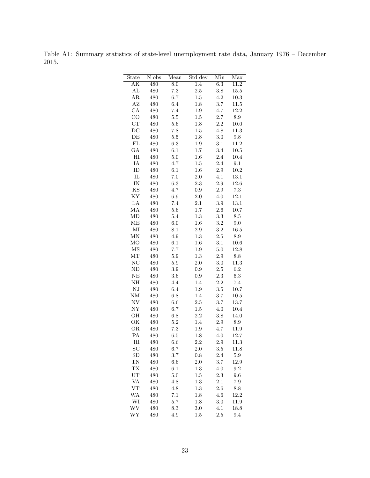Table A1: Summary statistics of state-level unemployment rate data, January 1976 – December 2015.

| State                  | N obs | Mean    | Std dev          | Min          | Max             |
|------------------------|-------|---------|------------------|--------------|-----------------|
| АK                     | 480   | 8.0     | $\overline{1.4}$ | 6.3          | 11.2            |
| AL                     | 480   | 7.3     | $2.5\,$          | $3.8\,$      | $15.5\,$        |
| ΑR                     | 480   | 6.7     | 1.5              | 4.2          | 10.3            |
| AZ                     | 480   | 6.4     | $1.8\,$          | 3.7          | $11.5\,$        |
| CA                     | 480   | $7.4\,$ | $1.9\,$          | $4.7\,$      | 12.2            |
| CO                     | 480   | $5.5\,$ | $1.5\,$          | $2.7\,$      | $\!\!\!\!\!8.9$ |
| CT                     | 480   | $5.6\,$ | 1.8              | $2.2\,$      | $10.0\,$        |
| $_{\rm DC}$            | 480   | 7.8     | $1.5\,$          | 4.8          | 11.3            |
| DE                     | 480   | 5.5     | $1.8\,$          | 3.0          | $\ \, 9.8$      |
| ${\rm FL}$             | 480   | 6.3     | $1.9\,$          | $3.1\,$      | 11.2            |
| GA                     | 480   | 6.1     | 1.7              | $3.4\,$      | $10.5\,$        |
| $_{\rm HI}$            | 480   | $5.0\,$ | 1.6              | $2.4\,$      | $10.4\,$        |
| IA                     | 480   | 4.7     | 1.5              | $2.4\,$      | 9.1             |
| ID                     | 480   | 6.1     | $1.6\,$          | $2.9\,$      | 10.2            |
| $_{\rm IL}$            | 480   | 7.0     | $2.0\,$          | 4.1          | $13.1\,$        |
| IN                     | 480   | $6.3\,$ | 2.3              | $2.9\,$      | 12.6            |
| $\mathbf{KS}$          | 480   | 4.7     | $\rm 0.9$        | $2.9\,$      | $7.3\,$         |
| ΚY                     | 480   | $6.9\,$ | $2.0\,$          | $4.0\,$      | $12.1\,$        |
| LA                     | 480   | 7.4     | 2.1              | $3.9\,$      | 13.1            |
| МA                     | 480   | 5.6     | $1.7\,$          | $2.6\,$      | $10.7\,$        |
| MD                     | 480   | 5.4     | 1.3              | $3.3\,$      | $\!\!\!\!\!8.5$ |
| ME                     | 480   | 6.0     | 1.6              | $\!3.2\!$    | 9.0             |
| MI                     | 480   | 8.1     | $2.9\,$          | $3.2\,$      | 16.5            |
| MΝ                     | 480   | 4.9     | $1.3\,$          | $2.5\,$      | $\!\!\!\!\!8.9$ |
| МO                     | 480   | 6.1     | $1.6\,$          | 3.1          | 10.6            |
| $\overline{\rm MS}$    | 480   | $7.7\,$ | $1.9\,$          | $5.0\,$      | 12.8            |
| MT                     | 480   | 5.9     | 1.3              | $2.9\,$      | $\!\!\!\!\!8.8$ |
| NC                     | 480   | $5.9\,$ | $2.0\,$          | 3.0          | 11.3            |
| ND                     | 480   | $3.9\,$ | $\rm 0.9$        | $2.5\,$      | $6.2\,$         |
| NE                     | 480   | 3.6     | 0.9              | 2.3          | $6.3\,$         |
| NH                     | 480   | 4.4     | 1.4              | $2.2\,$      | $7.4\,$         |
| NJ                     | 480   | 6.4     | $1.9\,$          | $3.5\,$      | 10.7            |
| NM                     | 480   | $6.8\,$ | 1.4              | $3.7\,$      | $10.5\,$        |
| NV                     | 480   | $6.6\,$ | $2.5\,$          | 3.7          | $13.7\,$        |
| NY                     | 480   | 6.7     | 1.5              | $4.0\,$      | $10.4\,$        |
| OН                     | 480   | $6.8\,$ | $2.2\,$          | 3.8          | 14.0            |
| ОK                     | 480   | 5.2     | 1.4              | $2.9\,$      | $\!\!\!\!\!8.9$ |
| OR                     | 480   | $7.3\,$ | 1.9              | $4.7\,$      | 11.9            |
| PA                     | 480   | 6.5     | 1.8              | 4.0          | 12.7            |
| $\mathbf{R}\mathbf{I}$ | 480   | $6.6\,$ | $2.2\,$          | 2.9          | $11.3\,$        |
| SС                     | 480   | 6.7     | 2.0              | $_{\rm 3.5}$ | 11.8            |
| SD                     | 480   | 3.7     | $0.8\,$          | 2.4          | $5.9\,$         |
| TN                     | 480   | 6.6     | 2.0              | 3.7          | 12.9            |
| TX                     | 480   | 6.1     | 1.3              | 4.0          | 9.2             |
| UT                     | 480   | 5.0     | 1.5              | 2.3          | 9.6             |
| VA                     | 480   | 4.8     | 1.3              | 2.1          | $7.9\,$         |
| VT                     | 480   | 4.8     | 1.3              | 2.6          | $8.8\,$         |
| WA                     | 480   | 7.1     | 1.8              | $4.6\,$      | 12.2            |
| WI                     | 480   | $5.7\,$ | 1.8              | 3.0          | 11.9            |
| WV                     | 480   | 8.3     | 3.0              | 4.1          | 18.8            |
| WY                     | 480   | 4.9     | 1.5              | 2.5          | 9.4             |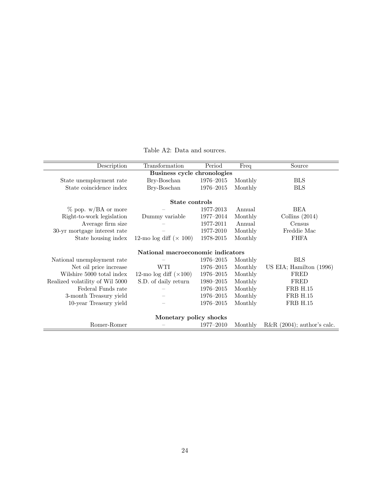Table A2: Data and sources.

| Description                     | Transformation                    | Period    | Freq    | Source                        |
|---------------------------------|-----------------------------------|-----------|---------|-------------------------------|
|                                 | Business cycle chronologies       |           |         |                               |
| State unemployment rate         | Bry-Boschan                       | 1976-2015 | Monthly | <b>BLS</b>                    |
| State coincidence index         | Bry-Boschan                       | 1976-2015 | Monthly | <b>BLS</b>                    |
|                                 | State controls                    |           |         |                               |
| $\%$ pop. w/BA or more          |                                   | 1977-2013 | Annual  | <b>BEA</b>                    |
| Right-to-work legislation       | Dummy variable                    | 1977-2014 | Monthly | Collins $(2014)$              |
| Average firm size               |                                   | 1977-2011 | Annual  | Census                        |
| 30-yr mortgage interest rate    |                                   | 1977-2010 | Monthly | Freddie Mac                   |
| State housing index             | 12-mo log diff $(\times 100)$     | 1978-2015 | Monthly | <b>FHFA</b>                   |
|                                 | National macroeconomic indicators |           |         |                               |
| National unemployment rate      |                                   | 1976-2015 | Monthly | <b>BLS</b>                    |
| Net oil price increase          | WTI                               | 1976-2015 | Monthly | US EIA; Hamilton (1996)       |
| Wilshire 5000 total index       | 12-mo log diff $(\times 100)$     | 1976-2015 | Monthly | FRED                          |
| Realized volatility of Wil 5000 | S.D. of daily return              | 1980-2015 | Monthly | FRED                          |
| Federal Funds rate              |                                   | 1976-2015 | Monthly | <b>FRB H.15</b>               |
| 3-month Treasury yield          |                                   | 1976-2015 | Monthly | <b>FRB H.15</b>               |
| 10-year Treasury yield          |                                   | 1976-2015 | Monthly | <b>FRB H.15</b>               |
|                                 | Monetary policy shocks            |           |         |                               |
| Romer-Romer                     |                                   | 1977-2010 | Monthly | R&R $(2004)$ ; author's calc. |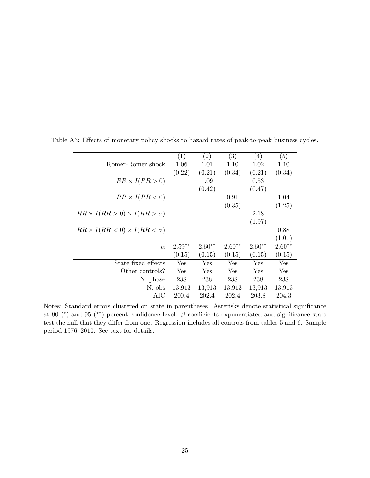|                                             | $\left( 1\right)$ | $\left( 2\right)$ | $\left( 3\right)$ | $\left(4\right)$ | (5)      |
|---------------------------------------------|-------------------|-------------------|-------------------|------------------|----------|
| Romer-Romer shock                           | 1.06              | 1.01              | 1.10              | 1.02             | 1.10     |
|                                             | (0.22)            | (0.21)            | (0.34)            | (0.21)           | (0.34)   |
| $RR \times I(RR > 0)$                       |                   | 1.09              |                   | 0.53             |          |
|                                             |                   | (0.42)            |                   | (0.47)           |          |
| $RR \times I(RR < 0)$                       |                   |                   | 0.91              |                  | 1.04     |
|                                             |                   |                   | (0.35)            |                  | (1.25)   |
| $RR \times I(RR > 0) \times I(RR > \sigma)$ |                   |                   |                   | 2.18             |          |
|                                             |                   |                   |                   | (1.97)           |          |
| $RR \times I(RR < 0) \times I(RR < \sigma)$ |                   |                   |                   |                  | 0.88     |
|                                             |                   |                   |                   |                  | (1.01)   |
| $\alpha$                                    | $2.59**$          | $2.60**$          | $2.60**$          | $2.60**$         | $2.60**$ |
|                                             | (0.15)            | (0.15)            | (0.15)            | (0.15)           | (0.15)   |
| State fixed effects                         | Yes               | Yes               | Yes               | Yes              | Yes      |
| Other controls?                             | Yes               | Yes               | Yes               | Yes              | Yes      |
| N. phase                                    | 238               | 238               | 238               | 238              | 238      |
| N. obs                                      | 13,913            | 13,913            | 13,913            | 13,913           | 13,913   |
| AIC                                         | 200.4             | 202.4             | 202.4             | 203.8            | 204.3    |

Table A3: Effects of monetary policy shocks to hazard rates of peak-to-peak business cycles.

Notes: Standard errors clustered on state in parentheses. Asterisks denote statistical significance at 90 (\*) and 95 (\*\*) percent confidence level.  $\beta$  coefficients exponentiated and significance stars test the null that they differ from one. Regression includes all controls from tables 5 and 6. Sample period 1976–2010. See text for details.